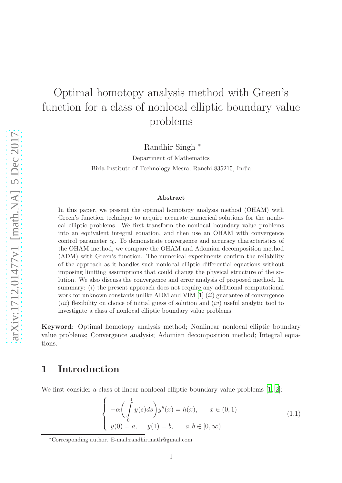# Optimal homotopy analysis method with Green's function for a class of nonlocal elliptic boundary value problems

Randhir Singh <sup>∗</sup>

Department of Mathematics Birla Institute of Technology Mesra, Ranchi-835215, India

#### Abstract

In this paper, we present the optimal homotopy analysis method (OHAM) with Green's function technique to acquire accurate numerical solutions for the nonlocal elliptic problems. We first transform the nonlocal boundary value problems into an equivalent integral equation, and then use an OHAM with convergence control parameter  $c_0$ . To demonstrate convergence and accuracy characteristics of the OHAM method, we compare the OHAM and Adomian decomposition method (ADM) with Green's function. The numerical experiments confirm the reliability of the approach as it handles such nonlocal elliptic differential equations without imposing limiting assumptions that could change the physical structure of the solution. We also discuss the convergence and error analysis of proposed method. In summary: *(i)* the present approach does not require any additional computational work for unknown constants unlike ADM and VIM  $[1]$  (*ii*) guarantee of convergence  $(iii)$  flexibility on choice of initial guess of solution and  $(iv)$  useful analytic tool to investigate a class of nonlocal elliptic boundary value problems.

Keyword: Optimal homotopy analysis method; Nonlinear nonlocal elliptic boundary value problems; Convergence analysis; Adomian decomposition method; Integral equations.

#### 1 Introduction

We first consider a class of linear nonlocal elliptic boundary value problems [\[1,](#page-10-0) [2\]](#page-10-1):

<span id="page-0-0"></span>
$$
\begin{cases}\n-\alpha \left(\int\limits_0^1 y(s)ds\right) y''(x) = h(x), & x \in (0,1) \\
y(0) = a, & y(1) = b, \quad a, b \in [0,\infty).\n\end{cases}
$$
\n(1.1)

<sup>∗</sup>Corresponding author. E-mail:randhir.math@gmail.com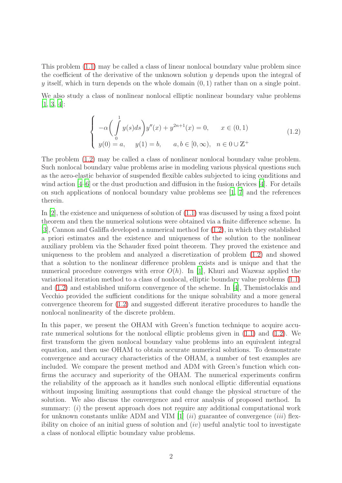This problem [\(1.1\)](#page-0-0) may be called a class of linear nonlocal boundary value problem since the coefficient of the derivative of the unknown solution  $\gamma$  depends upon the integral of y itself, which in turn depends on the whole domain  $(0, 1)$  rather than on a single point.

We also study a class of nonlinear nonlocal elliptic nonlinear boundary value problems [\[1](#page-10-0), [3](#page-10-2), [4](#page-10-3)]:

<span id="page-1-0"></span>
$$
\begin{cases}\n-\alpha \left( \int_{0}^{1} y(s)ds \right) y''(x) + y^{2n+1}(x) = 0, & x \in (0,1) \\
y(0) = a, & y(1) = b, \quad a, b \in [0, \infty), \quad n \in 0 \cup \mathbb{Z}^{+}\n\end{cases}
$$
\n(1.2)

The problem [\(1.2\)](#page-1-0) may be called a class of nonlinear nonlocal boundary value problem. Such nonlocal boundary value problems arise in modeling various physical questions such as the aero-elastic behavior of suspended flexible cables subjected to icing conditions and wind action  $[4-6]$  or the dust production and diffusion in the fusion devices  $[4]$ . For details on such applications of nonlocal boundary value problems see [\[1](#page-10-0), [7](#page-10-5)] and the references therein.

In  $[2]$ , the existence and uniqueness of solution of  $(1.1)$  was discussed by using a fixed point theorem and then the numerical solutions were obtained via a finite difference scheme. In [\[3](#page-10-2)], Cannon and Galiffa developed a numerical method for [\(1.2\)](#page-1-0), in which they established a priori estimates and the existence and uniqueness of the solution to the nonlinear auxiliary problem via the Schauder fixed point theorem. They proved the existence and uniqueness to the problem and analyzed a discretization of problem [\(1.2\)](#page-1-0) and showed that a solution to the nonlinear difference problem exists and is unique and that the numerical procedure converges with error  $O(h)$ . In [\[1\]](#page-10-0), Khuri and Wazwaz applied the variational iteration method to a class of nonlocal, elliptic boundary value problems [\(1.1\)](#page-0-0) and [\(1.2\)](#page-1-0) and established uniform convergence of the scheme. In [\[4\]](#page-10-3), Themistoclakis and Vecchio provided the sufficient conditions for the unique solvability and a more general convergence theorem for [\(1.2\)](#page-1-0) and suggested different iterative procedures to handle the nonlocal nonlinearity of the discrete problem.

In this paper, we present the OHAM with Green's function technique to acquire accurate numerical solutions for the nonlocal elliptic problems given in [\(1.1\)](#page-0-0) and [\(1.2\)](#page-1-0). We first transform the given nonlocal boundary value problems into an equivalent integral equation, and then use OHAM to obtain accurate numerical solutions. To demonstrate convergence and accuracy characteristics of the OHAM, a number of test examples are included. We compare the present method and ADM with Green's function which confirms the accuracy and superiority of the OHAM. The numerical experiments confirm the reliability of the approach as it handles such nonlocal elliptic differential equations without imposing limiting assumptions that could change the physical structure of the solution. We also discuss the convergence and error analysis of proposed method. In summary: (i) the present approach does not require any additional computational work for unknown constants unlike ADM and VIM [\[1](#page-10-0)] (ii) guarantee of convergence (iii) flexibility on choice of an initial guess of solution and  $(iv)$  useful analytic tool to investigate a class of nonlocal elliptic boundary value problems.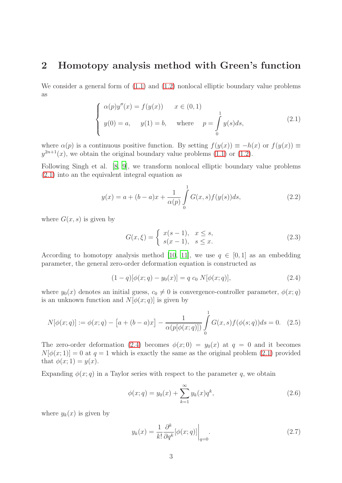#### 2 Homotopy analysis method with Green's function

We consider a general form of  $(1.1)$  and  $(1.2)$  nonlocal elliptic boundary value problems as

<span id="page-2-0"></span>
$$
\begin{cases}\n\alpha(p)y''(x) = f(y(x)) & x \in (0,1) \\
y(0) = a, \quad y(1) = b, \quad \text{where} \quad p = \int_{0}^{1} y(s)ds,\n\end{cases}
$$
\n(2.1)

where  $\alpha(p)$  is a continuous positive function. By setting  $f(y(x)) \equiv -h(x)$  or  $f(y(x)) \equiv$  $y^{2n+1}(x)$ , we obtain the original boundary value problems [\(1.1\)](#page-0-0) or [\(1.2\)](#page-1-0).

Following Singh et al. [\[8,](#page-10-6) [9\]](#page-10-7), we transform nonlocal elliptic boundary value problems [\(2.1\)](#page-2-0) into an the equivalent integral equation as

$$
y(x) = a + (b - a)x + \frac{1}{\alpha(p)} \int_{0}^{1} G(x, s) f(y(s)) ds,
$$
\n(2.2)

where  $G(x, s)$  is given by

<span id="page-2-3"></span><span id="page-2-1"></span>
$$
G(x,\xi) = \begin{cases} x(s-1), & x \le s, \\ s(x-1), & s \le x. \end{cases} \tag{2.3}
$$

According to homotopy analysis method [\[10](#page-10-8), [11\]](#page-11-0), we use  $q \in [0, 1]$  as an embedding parameter, the general zero-order deformation equation is constructed as

$$
(1-q)[\phi(x;q) - y_0(x)] = q c_0 N[\phi(x;q)],
$$
\n(2.4)

where  $y_0(x)$  denotes an initial guess,  $c_0 \neq 0$  is convergence-controller parameter,  $\phi(x; q)$ is an unknown function and  $N[\phi(x; q)]$  is given by

$$
N[\phi(x;q)] := \phi(x;q) - [a + (b - a)x] - \frac{1}{\alpha(p[\phi(x;q)])} \int_{0}^{1} G(x,s)f(\phi(s;q))ds = 0.
$$
 (2.5)

The zero-order deformation [\(2.4\)](#page-2-1) becomes  $\phi(x; 0) = y_0(x)$  at  $q = 0$  and it becomes  $N[\phi(x; 1)] = 0$  at  $q = 1$  which is exactly the same as the original problem [\(2.1\)](#page-2-0) provided that  $\phi(x; 1) = y(x)$ .

Expanding  $\phi(x; q)$  in a Taylor series with respect to the parameter q, we obtain

<span id="page-2-2"></span>
$$
\phi(x;q) = y_0(x) + \sum_{k=1}^{\infty} y_k(x) q^k, \qquad (2.6)
$$

where  $y_k(x)$  is given by

$$
y_k(x) = \frac{1}{k!} \frac{\partial^k}{\partial q^k} [\phi(x; q)] \bigg|_{q=0}.
$$
 (2.7)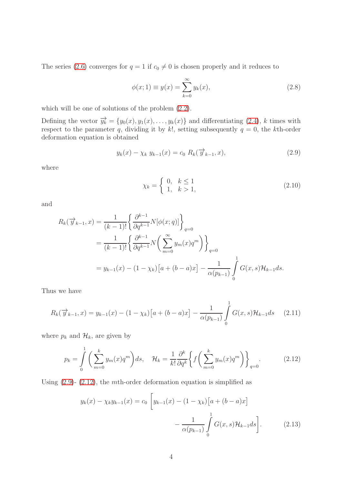The series [\(2.6\)](#page-2-2) converges for  $q = 1$  if  $c_0 \neq 0$  is chosen properly and it reduces to

$$
\phi(x; 1) \equiv y(x) = \sum_{k=0}^{\infty} y_k(x),
$$
\n(2.8)

which will be one of solutions of the problem  $(2.2)$ .

Defining the vector  $\overrightarrow{y_k} = \{y_0(x), y_1(x), \ldots, y_k(x)\}\$ and differentiating [\(2.4\)](#page-2-1), k times with respect to the parameter q, dividing it by k!, setting subsequently  $q = 0$ , the kth-order deformation equation is obtained

$$
y_k(x) - \chi_k \ y_{k-1}(x) = c_0 \ R_k(\overrightarrow{y}_{k-1}, x), \tag{2.9}
$$

where

<span id="page-3-0"></span>
$$
\chi_k = \begin{cases} 0, & k \le 1 \\ 1, & k > 1, \end{cases}
$$
 (2.10)

and

$$
R_k(\overrightarrow{y}_{k-1}, x) = \frac{1}{(k-1)!} \left\{ \frac{\partial^{k-1}}{\partial q^{k-1}} N[\phi(x; q)] \right\}_{q=0}
$$
  
= 
$$
\frac{1}{(k-1)!} \left\{ \frac{\partial^{k-1}}{\partial q^{k-1}} N\left(\sum_{m=0}^{\infty} y_m(x) q^m \right) \right\}_{q=0}
$$
  
= 
$$
y_{k-1}(x) - (1 - \chi_k) [a + (b - a)x] - \frac{1}{\alpha(p_{k-1})} \int_0^1 G(x, s) \mathcal{H}_{k-1} ds.
$$

Thus we have

$$
R_k(\overrightarrow{y}_{k-1},x) = y_{k-1}(x) - (1 - \chi_k)[a + (b - a)x] - \frac{1}{\alpha(p_{k-1})} \int_0^1 G(x,s) \mathcal{H}_{k-1} ds \quad (2.11)
$$

where  $p_k$  and  $\mathcal{H}_k$ , are given by

$$
p_k = \int_0^1 \left( \sum_{m=0}^k y_m(x) q^m \right) ds, \quad \mathcal{H}_k = \frac{1}{k!} \frac{\partial^k}{\partial q^k} \left\{ f \left( \sum_{m=0}^k y_m(x) q^m \right) \right\}_{q=0}.
$$
 (2.12)

Using  $(2.9)$ -  $(2.12)$ , the mth-order deformation equation is simplified as

<span id="page-3-2"></span><span id="page-3-1"></span>
$$
y_k(x) - \chi_k y_{k-1}(x) = c_0 \left[ y_{k-1}(x) - (1 - \chi_k) \left[ a + (b - a)x \right] - \frac{1}{\alpha(p_{k-1})} \int_0^1 G(x, s) \mathcal{H}_{k-1} ds \right].
$$
 (2.13)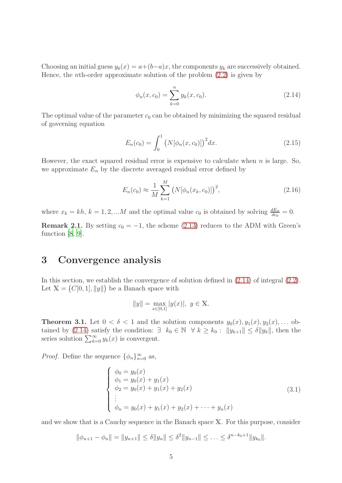Choosing an initial guess  $y_0(x) = a + (b-a)x$ , the components  $y_k$  are successively obtained. Hence, the *n*th-order approximate solution of the problem  $(2.2)$  is given by

<span id="page-4-0"></span>
$$
\phi_n(x, c_0) = \sum_{k=0}^n y_k(x, c_0).
$$
\n(2.14)

The optimal value of the parameter  $c_0$  can be obtained by minimizing the squared residual of governing equation

$$
E_n(c_0) = \int_0^1 (N[\phi_n(x, c_0)])^2 dx.
$$
 (2.15)

However, the exact squared residual error is expensive to calculate when  $n$  is large. So, we approximate  $E_n$  by the discrete averaged residual error defined by

<span id="page-4-2"></span>
$$
E_n(c_0) \approx \frac{1}{M} \sum_{k=1}^{M} (N[\phi_n(x_k, c_0)])^2,
$$
\n(2.16)

where  $x_k = kh$ ,  $k = 1, 2, ...M$  and the optimal value  $c_0$  is obtained by solving  $\frac{dE_n}{dc_0} = 0$ .

**Remark 2.1.** By setting  $c_0 = -1$ , the scheme [\(2.13\)](#page-3-2) reduces to the ADM with Green's function [\[8,](#page-10-6) [9\]](#page-10-7).

#### 3 Convergence analysis

In this section, we establish the convergence of solution defined in [\(2.14\)](#page-4-0) of integral [\(2.2\)](#page-2-3). Let  $\mathbb{X} = (C[0,1], ||y||)$  be a Banach space with

$$
||y|| = \max_{x \in [0,1]} |y(x)|, \ y \in \mathbb{X}.
$$

<span id="page-4-1"></span>**Theorem 3.1.** Let  $0 < \delta < 1$  and the solution components  $y_0(x), y_1(x), y_2(x), \ldots$  ob-tained by [\(2.14\)](#page-4-0) satisfy the condition:  $\exists k_0 \in \mathbb{N} \ \forall k \geq k_0 : ||y_{k+1}|| \leq \delta ||y_k||$ , then the series solution  $\sum_{k=0}^{\infty} y_k(x)$  is convergent.

*Proof.* Define the sequence  $\{\phi_n\}_{n=0}^{\infty}$  as,

$$
\begin{cases}\n\phi_0 = y_0(x) \\
\phi_1 = y_0(x) + y_1(x) \\
\phi_2 = y_0(x) + y_1(x) + y_2(x) \\
\vdots \\
\phi_n = y_0(x) + y_1(x) + y_2(x) + \dots + y_n(x)\n\end{cases}
$$
\n(3.1)

and we show that is a Cauchy sequence in the Banach space X. For this purpose, consider

 $\|\phi_{n+1} - \phi_n\| = \|y_{n+1}\| \le \delta \|y_n\| \le \delta^2 \|y_{n-1}\| \le \ldots \le \delta^{n-k_0+1} \|y_{k_0}\|.$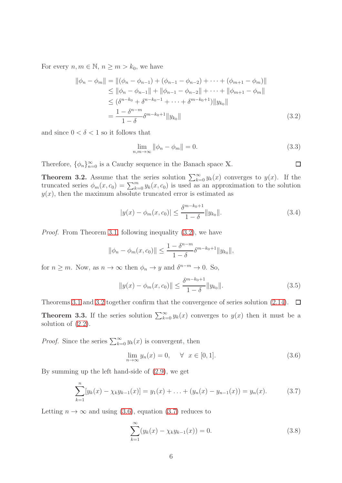For every  $n, m \in \mathbb{N}, n \ge m > k_0$ , we have

$$
\|\phi_n - \phi_m\| = \|(\phi_n - \phi_{n-1}) + (\phi_{n-1} - \phi_{n-2}) + \dots + (\phi_{m+1} - \phi_m)\|
$$
  
\n
$$
\leq \|\phi_n - \phi_{n-1}\| + \|\phi_{n-1} - \phi_{n-2}\| + \dots + \|\phi_{m+1} - \phi_m\|
$$
  
\n
$$
\leq (\delta^{n-k_0} + \delta^{n-k_0-1} + \dots + \delta^{m-k_0+1}) \|y_{k_0}\|
$$
  
\n
$$
= \frac{1 - \delta^{n-m}}{1 - \delta} \delta^{m-k_0+1} \|y_{k_0}\|
$$
\n(3.2)

and since  $0 < \delta < 1$  so it follows that

$$
\lim_{n,m \to \infty} \|\phi_n - \phi_m\| = 0. \tag{3.3}
$$

<span id="page-5-0"></span> $\Box$ 

Therefore,  $\{\phi_n\}_{n=0}^{\infty}$  is a Cauchy sequence in the Banach space X.

<span id="page-5-1"></span>**Theorem 3.2.** Assume that the series solution  $\sum_{k=0}^{\infty} y_k(x)$  converges to  $y(x)$ . If the truncated series  $\phi_m(x, c_0) = \sum_{k=0}^m y_k(x, c_0)$  is used as an approximation to the solution  $y(x)$ , then the maximum absolute truncated error is estimated as

$$
|y(x) - \phi_m(x, c_0)| \le \frac{\delta^{m-k_0+1}}{1-\delta} ||y_{k_0}||. \tag{3.4}
$$

Proof. From Theorem [3.1,](#page-4-1) following inequality [\(3.2\)](#page-5-0), we have

$$
\|\phi_n - \phi_m(x, c_0)\| \le \frac{1 - \delta^{n-m}}{1 - \delta} \delta^{m-k_0+1} \|y_{k_0}\|,
$$

for  $n \geq m$ . Now, as  $n \to \infty$  then  $\phi_n \to y$  and  $\delta^{n-m} \to 0$ . So,

$$
||y(x) - \phi_m(x, c_0)|| \le \frac{\delta^{m-k_0+1}}{1-\delta} ||y_{k_0}||. \tag{3.5}
$$

Theorems [3.1](#page-4-1) and [3.2](#page-5-1) together confirm that the convergence of series solution [\(2.14\)](#page-4-0).  $\Box$ 

**Theorem 3.3.** If the series solution  $\sum_{k=0}^{\infty} y_k(x)$  converges to  $y(x)$  then it must be a solution of [\(2.2\)](#page-2-3).

*Proof.* Since the series  $\sum_{k=0}^{\infty} y_k(x)$  is convergent, then

<span id="page-5-2"></span>
$$
\lim_{n \to \infty} y_n(x) = 0, \quad \forall \quad x \in [0, 1]. \tag{3.6}
$$

By summing up the left hand-side of [\(2.9\)](#page-3-0), we get

$$
\sum_{k=1}^{n} [y_k(x) - \chi_k y_{k-1}(x)] = y_1(x) + \ldots + (y_n(x) - y_{n-1}(x)) = y_n(x). \tag{3.7}
$$

Letting  $n \to \infty$  and using [\(3.6\)](#page-5-2), equation [\(3.7\)](#page-5-3) reduces to

<span id="page-5-4"></span><span id="page-5-3"></span>
$$
\sum_{k=1}^{\infty} (y_k(x) - \chi_k y_{k-1}(x)) = 0.
$$
\n(3.8)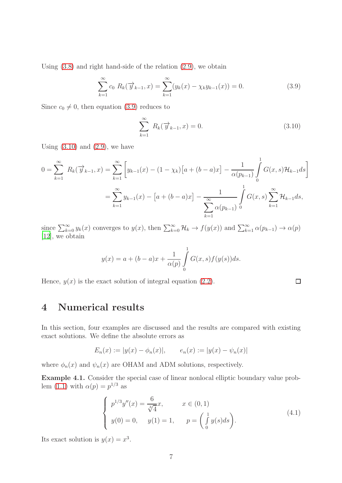Using [\(3.8\)](#page-5-4) and right hand-side of the relation [\(2.9\)](#page-3-0), we obtain

$$
\sum_{k=1}^{\infty} c_0 R_k(\overrightarrow{y}_{k-1}, x) = \sum_{k=1}^{\infty} (y_k(x) - \chi_k y_{k-1}(x)) = 0.
$$
 (3.9)

Since  $c_0 \neq 0$ , then equation [\(3.9\)](#page-6-0) reduces to

<span id="page-6-1"></span><span id="page-6-0"></span>
$$
\sum_{k=1}^{\infty} R_k(\overrightarrow{y}_{k-1},x) = 0.
$$
\n(3.10)

 $\Box$ 

Using  $(3.10)$  and  $(2.9)$ , we have

$$
0 = \sum_{k=1}^{\infty} R_k(\overrightarrow{y}_{k-1}, x) = \sum_{k=1}^{\infty} \left[ y_{k-1}(x) - (1 - \chi_k) \left[ a + (b - a)x \right] - \frac{1}{\alpha(p_{k-1})} \int_0^1 G(x, s) \mathcal{H}_{k-1} ds \right]
$$
  

$$
= \sum_{k=1}^{\infty} y_{k-1}(x) - \left[ a + (b - a)x \right] - \frac{1}{\sum_{k=1}^{\infty} \alpha(p_{k-1})} \int_0^1 G(x, s) \sum_{k=1}^{\infty} \mathcal{H}_{k-1} ds,
$$

since  $\sum_{k=0}^{\infty} y_k(x)$  converges to  $y(x)$ , then  $\sum_{k=0}^{\infty} \mathcal{H}_k \to f(y(x))$  and  $\sum_{k=1}^{\infty} \alpha(p_{k-1}) \to \alpha(p)$ [\[12](#page-11-1)], we obtain

$$
y(x) = a + (b - a)x + \frac{1}{\alpha(p)} \int_{0}^{1} G(x, s) f(y(s)) ds.
$$

Hence,  $y(x)$  is the exact solution of integral equation [\(2.2\)](#page-2-3).

## 4 Numerical results

In this section, four examples are discussed and the results are compared with existing exact solutions. We define the absolute errors as

$$
E_n(x) := |y(x) - \phi_n(x)|, \qquad e_n(x) := |y(x) - \psi_n(x)|
$$

where  $\phi_n(x)$  and  $\psi_n(x)$  are OHAM and ADM solutions, respectively.

<span id="page-6-2"></span>Example 4.1. Consider the special case of linear nonlocal elliptic boundary value prob-lem [\(1.1\)](#page-0-0) with  $\alpha(p) = p^{1/3}$  as

$$
\begin{cases}\n p^{1/3}y''(x) = \frac{6}{\sqrt[3]{4}}x, & x \in (0,1) \\
 y(0) = 0, & y(1) = 1, & p = \left(\int_0^1 y(s)ds\right).\n\end{cases}
$$
\n(4.1)

Its exact solution is  $y(x) = x^3$ .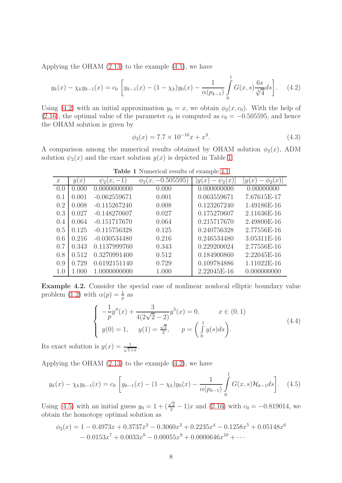Applying the OHAM [\(2.13\)](#page-3-2) to the example [\(4.1\)](#page-6-2), we have

$$
y_k(x) - \chi_k y_{k-1}(x) = c_0 \left[ y_{k-1}(x) - (1 - \chi_k) y_0(x) - \frac{1}{\alpha (p_{k-1})} \int_0^1 G(x, s) \frac{6s}{\sqrt[3]{4}} ds \right].
$$
 (4.2)

Using [\(4.2\)](#page-7-0) with an initial approximation  $y_0 = x$ , we obtain  $\phi_2(x, c_0)$ . With the help of [\(2.16\)](#page-4-2), the optimal value of the parameter  $c_0$  is computed as  $c_0 = -0.505595$ , and hence the OHAM solution is given by

<span id="page-7-0"></span>
$$
\phi_2(x) = 7.7 \times 10^{-16} x + x^3. \tag{4.3}
$$

<span id="page-7-1"></span>A comparison among the numerical results obtained by OHAM solution  $\phi_2(x)$ , ADM solution  $\psi_2(x)$  and the exact solution  $y(x)$  is depicted in Table [1.](#page-7-1)

| $\mathcal{X}$ | y(x)    | $\psi_2(x,-1)$ | $-0.505595$<br>(x,<br>$\varphi_{2}$ | $\psi_2(x)$<br> y(x) | $\varphi_2(x)$<br>y(<br>$\mathcal{X}$ |
|---------------|---------|----------------|-------------------------------------|----------------------|---------------------------------------|
| 0.0           | (1.000) | 0.0000000000   | 0.000                               | 0.000000000          | 0.00000000                            |
| 0.1           | 0.001   | $-0.062559671$ | 0.001                               | 0.063559671          | 7.67615E-17                           |
| 0.2           | 0.008   | $-0.115267240$ | 0.008                               | 0.123267240          | 1.49186E-16                           |
| 0.3           | 0.027   | $-0.148270607$ | 0.027                               | 0.175270607          | 2.11636E-16                           |
| 0.4           | 0.064   | $-0.151717670$ | 0.064                               | 0.215717670          | 2.49800E-16                           |
| 0.5           | 0.125   | $-0.115756328$ | 0.125                               | 0.240756328          | 2.77556E-16                           |
| 0.6           | 0.216   | $-0.030534480$ | 0.216                               | 0.246534480          | 3.05311E-16                           |
| 0.7           | 0.343   | 0.1137999760   | 0.343                               | 0.229200024          | 2.77556E-16                           |
| 0.8           | 0.512   | 0.3270991400   | 0.512                               | 0.184900860          | 2.22045E-16                           |
| 0.9           | 0.729   | 0.6192151140   | 0.729                               | 0.109784886          | 1.11022E-16                           |
| 1.0           | 1.000   | 1.0000000000   | 1.000                               | 2.22045E-16          | 0.000000000                           |

Table 1 Numerical results of example [4.1](#page-6-2)

<span id="page-7-2"></span>Example 4.2. Consider the special case of nonlinear nonlocal elliptic boundary value problem [\(1.2\)](#page-1-0) with  $\alpha(p) = \frac{1}{p}$  as

<span id="page-7-3"></span>
$$
\begin{cases}\n-\frac{1}{p}y''(x) + \frac{3}{4(2\sqrt{2} - 2)}y^5(x) = 0, & x \in (0, 1) \\
y(0) = 1, & y(1) = \frac{\sqrt{2}}{2}, & p = \left(\int_0^1 y(s)ds\right).\n\end{cases}
$$
\n(4.4)

Its exact solution is  $y(x) = \frac{1}{\sqrt{1-x^2}}$  $\frac{1}{1+x}$ .

Applying the OHAM [\(2.13\)](#page-3-2) to the example [\(4.2\)](#page-7-2), we have

$$
y_k(x) - \chi_k y_{k-1}(x) = c_0 \left[ y_{k-1}(x) - (1 - \chi_k) y_0(x) - \frac{1}{\alpha(p_{k-1})} \int_0^1 G(x, s) \mathcal{H}_{k-1} ds \right]. \tag{4.5}
$$

Using [\(4.5\)](#page-7-3) with an initial guess  $y_0 = 1 + (\frac{\sqrt{2}}{2} - 1)x$  and [\(2.16\)](#page-4-2) with  $c_0 = -0.819014$ , we obtain the homotopy optimal solution as

$$
\phi_2(x) = 1 - 0.4973x + 0.3737x^2 - 0.3060x^3 + 0.2235x^4 - 0.1258x^5 + 0.05148x^6
$$
  
- 0.0153x<sup>7</sup> + 0.0033x<sup>8</sup> - 0.00055x<sup>9</sup> + 0.0000646x<sup>10</sup> + ...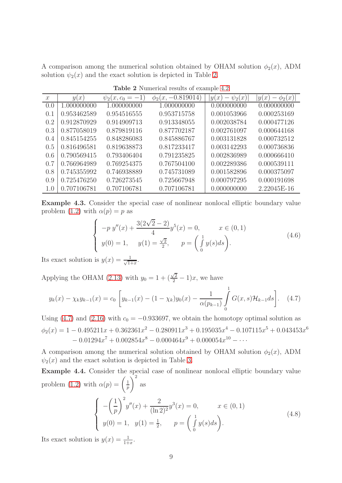<span id="page-8-0"></span>A comparison among the numerical solution obtained by OHAM solution  $\phi_2(x)$ , ADM solution  $\psi_2(x)$  and the exact solution is depicted in Table [2.](#page-8-0)

| $\mathcal{X}$ | y(x)        | $\psi_2(x,c_0=-1)$ | $\phi_2(x, -0.819014)$ | $\psi_2(x)$<br>y(x) | $\phi_2(x)$<br>y(x) |
|---------------|-------------|--------------------|------------------------|---------------------|---------------------|
| (0.0)         | 1.000000000 | 1.000000000        | 1.000000000            | 0.000000000         | 0.000000000         |
| 0.1           | 0.953462589 | 0.954516555        | 0.953715758            | 0.001053966         | 0.000253169         |
| 0.2           | 0.912870929 | 0.914909713        | 0.913348055            | 0.002038784         | 0.000477126         |
| 0.3           | 0.877058019 | 0.879819116        | 0.877702187            | 0.002761097         | 0.000644168         |
| 0.4           | 0.845154255 | 0.848286083        | 0.845886767            | 0.003131828         | 0.000732512         |
| 0.5           | 0.816496581 | 0.819638873        | 0.817233417            | 0.003142293         | 0.000736836         |
| 0.6           | 0.790569415 | 0.793406404        | 0.791235825            | 0.002836989         | 0.000666410         |
| 0.7           | 0.766964989 | 0.769254375        | 0.767504100            | 0.002289386         | 0.000539111         |
| 0.8           | 0.745355992 | 0.746938889        | 0.745731089            | 0.001582896         | 0.000375097         |
| 0.9           | 0.725476250 | 0.726273545        | 0.725667948            | 0.000797295         | 0.000191698         |
| 1.0           | 0.707106781 | 0.707106781        | 0.707106781            | 0.000000000         | 2.22045E-16         |

Table 2 Numerical results of example [4.2](#page-7-2)

<span id="page-8-2"></span>Example 4.3. Consider the special case of nonlinear nonlocal elliptic boundary value problem [\(1.2\)](#page-1-0) with  $\alpha(p) = p$  as

<span id="page-8-1"></span>
$$
\begin{cases}\n-p y''(x) + \frac{3(2\sqrt{2} - 2)}{4} y^5(x) = 0, & x \in (0, 1) \\
y(0) = 1, & y(1) = \frac{\sqrt{2}}{2}, & p = \left(\int_0^1 y(s)ds\right).\n\end{cases}
$$
\n(4.6)

Its exact solution is  $y(x) = \frac{1}{\sqrt{1-x^2}}$  $\frac{1}{1+x}$ .

Applying the OHAM [\(2.13\)](#page-3-2) with  $y_0 = 1 + (\frac{\sqrt{2}}{2} - 1)x$ , we have

$$
y_k(x) - \chi_k y_{k-1}(x) = c_0 \left[ y_{k-1}(x) - (1 - \chi_k) y_0(x) - \frac{1}{\alpha(p_{k-1})} \int_0^1 G(x, s) \mathcal{H}_{k-1} ds \right]. \tag{4.7}
$$

Using [\(4.7\)](#page-8-1) and [\(2.16\)](#page-4-2) with  $c_0 = -0.933697$ , we obtain the homotopy optimal solution as  $\phi_2(x) = 1 - 0.495211x + 0.362361x^2 - 0.280911x^3 + 0.195035x^4 - 0.107115x^5 + 0.043453x^6$  $-0.01294x^{7} + 0.002854x^{8} - 0.000464x^{9} + 0.000054x^{10} - \cdots$ 

A comparison among the numerical solution obtained by OHAM solution  $\phi_2(x)$ , ADM  $\psi_2(x)$  and the exact solution is depicted in Table [3.](#page-9-0)

<span id="page-8-3"></span>Example 4.4. Consider the special case of nonlinear nonlocal elliptic boundary value problem [\(1.2\)](#page-1-0) with  $\alpha(p) = \left(\frac{1}{p}\right)$ p  $\setminus^2$ as  $\sqrt{ }$  $\int$  $\overline{\mathcal{L}}$ −  $\sqrt{1}$ p  $\int_{0}^{2} y''(x) + \frac{2}{(1-x)^2}$  $(\ln 2)^2$  $y^3(x) = 0,$   $x \in (0, 1)$  $y(0) = 1, \ y(1) = \frac{1}{2}, \quad p = \begin{pmatrix} 1 \\ 1 \end{pmatrix}$ 1 0  $y(s)ds$ . (4.8)

Its exact solution is  $y(x) = \frac{1}{1+x}$ .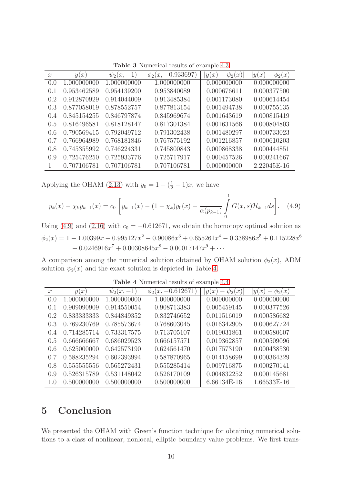<span id="page-9-0"></span>

| $\mathcal{X}$ | y(x)        | $\psi_2(x,$<br>$-1$ | $\phi_2(x, -0.933697)$ | $\psi_2(x)$<br>$\lceil x \rceil$<br>y( | $\lfloor x \rfloor$<br>y(<br>$\mathcal{X}$<br>$\varphi_2$ |
|---------------|-------------|---------------------|------------------------|----------------------------------------|-----------------------------------------------------------|
| 0.0           | 1.000000000 | 1.000000000         | 1.000000000            | 0.000000000                            | 0.000000000                                               |
| 0.1           | 0.953462589 | 0.954139200         | 0.953840089            | 0.000676611                            | 0.000377500                                               |
| 0.2           | 0.912870929 | 0.914044009         | 0.913485384            | 0.001173080                            | 0.000614454                                               |
| 0.3           | 0.877058019 | 0.878552757         | 0.877813154            | 0.001494738                            | 0.000755135                                               |
| 0.4           | 0.845154255 | 0.846797874         | 0.845969674            | 0.001643619                            | 0.000815419                                               |
| 0.5           | 0.816496581 | 0.818128147         | 0.817301384            | 0.001631566                            | 0.000804803                                               |
| 0.6           | 0.790569415 | 0.792049712         | 0.791302438            | 0.001480297                            | 0.000733023                                               |
| 0.7           | 0.766964989 | 0.768181846         | 0.767575192            | 0.001216857                            | 0.000610203                                               |
| 0.8           | 0.745355992 | 0.746224331         | 0.745800843            | 0.000868338                            | 0.000444851                                               |
| 0.9           | 0.725476250 | 0.725933776         | 0.725717917            | 0.000457526                            | 0.000241667                                               |
|               | 0.707106781 | 0.707106781         | 0.707106781            | 0.000000000                            | 2.22045E-16                                               |

Table 3 Numerical results of example [4.3](#page-8-2)

Applying the OHAM [\(2.13\)](#page-3-2) with  $y_0 = 1 + (\frac{1}{2} - 1)x$ , we have

$$
y_k(x) - \chi_k y_{k-1}(x) = c_0 \left[ y_{k-1}(x) - (1 - \chi_k) y_0(x) - \frac{1}{\alpha(p_{k-1})} \int_0^1 G(x, s) \mathcal{H}_{k-1} ds \right]. \tag{4.9}
$$

Using [\(4.9\)](#page-9-1) and [\(2.16\)](#page-4-2) with  $c_0 = -0.612671$ , we obtain the homotopy optimal solution as  $\phi_2(x) = 1 - 1.00399x + 0.995127x^2 - 0.90086x^3 + 0.655261x^4 - 0.338986x^5 + 0.115228x^6$  $-0.0246916x^{7} + 0.00308645x^{8} - 0.00017147x^{9} + \cdots$ 

<span id="page-9-2"></span>A comparison among the numerical solution obtained by OHAM solution  $\phi_2(x)$ , ADM solution  $\psi_2(x)$  and the exact solution is depicted in Table [4.](#page-9-2)

| $\mathcal{X}$ | y(x)        | $\psi_2(x,-1)$ | $\phi_2(x, -0.612671)$ | $\psi_2(x)$<br> y(x) | $\phi_2(x)$<br> y <br>$\mathcal{X}$ |
|---------------|-------------|----------------|------------------------|----------------------|-------------------------------------|
| 0.0           | 1.000000000 | 1.000000000    | 1.000000000            | 0.000000000          | 0.000000000                         |
| 0.1           | 0.909090909 | 0.914550054    | 0.908713383            | 0.005459145          | 0.000377526                         |
| 0.2           | 0.833333333 | 0.844849352    | 0.832746652            | 0.011516019          | 0.000586682                         |
| 0.3           | 0.769230769 | 0.785573674    | 0.768603045            | 0.016342905          | 0.000627724                         |
| 0.4           | 0.714285714 | 0.733317575    | 0.713705107            | 0.019031861          | 0.000580607                         |
| 0.5           | 0.666666667 | 0.686029523    | 0.666157571            | 0.019362857          | 0.000509096                         |
| 0.6           | 0.625000000 | 0.642573190    | 0.624561470            | 0.017573190          | 0.000438530                         |
| 0.7           | 0.588235294 | 0.602393994    | 0.587870965            | 0.014158699          | 0.000364329                         |
| 0.8           | 0.555555556 | 0.565272431    | 0.555285414            | 0.009716875          | 0.000270141                         |
| 0.9           | 0.526315789 | 0.531148042    | 0.526170109            | 0.004832252          | 0.000145681                         |
| 1.0           | 0.500000000 | 0.500000000    | 0.500000000            | 6.66134E-16          | 1.66533E-16                         |

<span id="page-9-1"></span>Table 4 Numerical results of example [4.4](#page-8-3)

### 5 Conclusion

We presented the OHAM with Green's function technique for obtaining numerical solutions to a class of nonlinear, nonlocal, elliptic boundary value problems. We first trans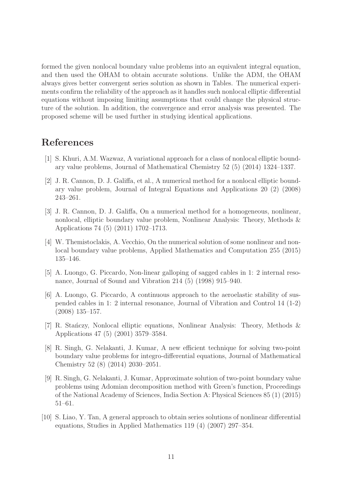formed the given nonlocal boundary value problems into an equivalent integral equation, and then used the OHAM to obtain accurate solutions. Unlike the ADM, the OHAM always gives better convergent series solution as shown in Tables. The numerical experiments confirm the reliability of the approach as it handles such nonlocal elliptic differential equations without imposing limiting assumptions that could change the physical structure of the solution. In addition, the convergence and error analysis was presented. The proposed scheme will be used further in studying identical applications.

#### References

- <span id="page-10-0"></span>[1] S. Khuri, A.M. Wazwaz, A variational approach for a class of nonlocal elliptic boundary value problems, Journal of Mathematical Chemistry 52 (5) (2014) 1324–1337.
- <span id="page-10-1"></span>[2] J. R. Cannon, D. J. Galiffa, et al., A numerical method for a nonlocal elliptic boundary value problem, Journal of Integral Equations and Applications 20 (2) (2008) 243–261.
- <span id="page-10-2"></span>[3] J. R. Cannon, D. J. Galiffa, On a numerical method for a homogeneous, nonlinear, nonlocal, elliptic boundary value problem, Nonlinear Analysis: Theory, Methods & Applications 74 (5) (2011) 1702–1713.
- <span id="page-10-3"></span>[4] W. Themistoclakis, A. Vecchio, On the numerical solution of some nonlinear and nonlocal boundary value problems, Applied Mathematics and Computation 255 (2015) 135–146.
- [5] A. Luongo, G. Piccardo, Non-linear galloping of sagged cables in 1: 2 internal resonance, Journal of Sound and Vibration 214 (5) (1998) 915–940.
- <span id="page-10-4"></span>[6] A. Luongo, G. Piccardo, A continuous approach to the aeroelastic stability of suspended cables in 1: 2 internal resonance, Journal of Vibration and Control 14 (1-2) (2008) 135–157.
- <span id="page-10-5"></span>[7] R. Stanczy, Nonlocal elliptic equations, Nonlinear Analysis: Theory, Methods  $\&$ Applications 47 (5) (2001) 3579–3584.
- <span id="page-10-6"></span>[8] R. Singh, G. Nelakanti, J. Kumar, A new efficient technique for solving two-point boundary value problems for integro-differential equations, Journal of Mathematical Chemistry 52 (8) (2014) 2030–2051.
- <span id="page-10-7"></span>[9] R. Singh, G. Nelakanti, J. Kumar, Approximate solution of two-point boundary value problems using Adomian decomposition method with Green's function, Proceedings of the National Academy of Sciences, India Section A: Physical Sciences 85 (1) (2015) 51–61.
- <span id="page-10-8"></span>[10] S. Liao, Y. Tan, A general approach to obtain series solutions of nonlinear differential equations, Studies in Applied Mathematics 119 (4) (2007) 297–354.